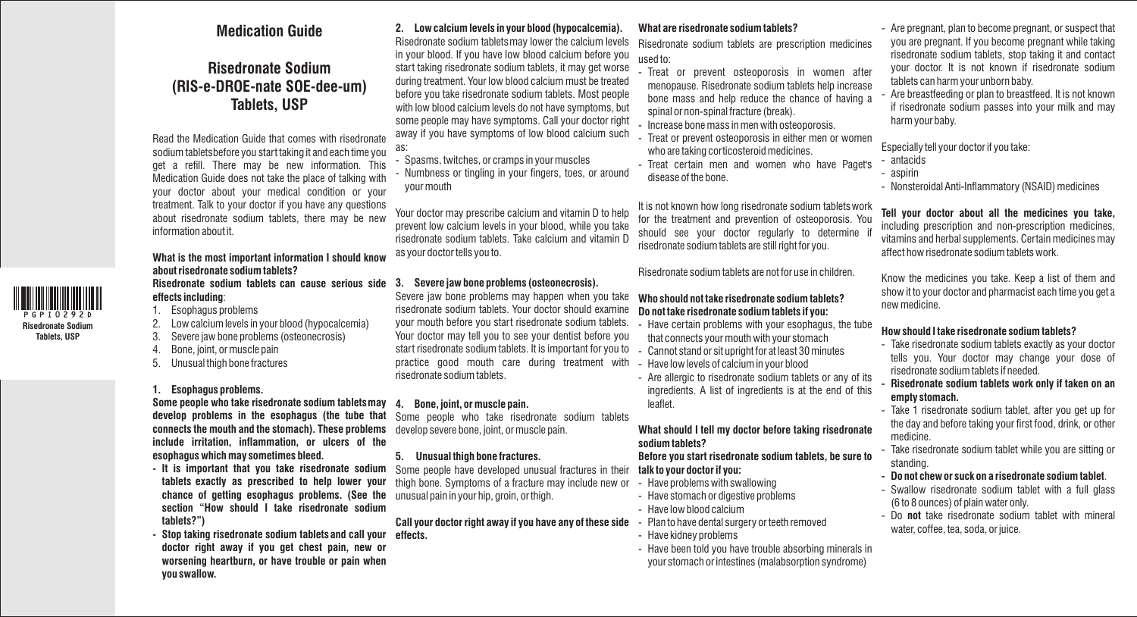## **Medication Guide**

# **Risedronate Sodium (RIS-e-DROE-nate SOE-dee-um) Tablets, USP**

Read the Medication Guide that comes with risedronate sodium tabletsbefore you start taking it and each time you get a refill. There may be new information. This Medication Guide does not take the place of talking with your doctor about your medical condition or your treatment. Talk to your doctor if you have any questions about risedronate sodium tablets, there may be new information about it.

#### **What is the most important information I should know about risedronate sodium tablets? Risedronate sodium tablets can cause serious side**

**effects including**:

1. Esophagus problems

**Risedronate Sodium Tablets, USP**

- 2. Low calcium levels in your blood (hypocalcemia)
- 3. Severe jaw bone problems (osteonecrosis)
- 4. Bone, joint, or muscle pain
- 5. Unusual thigh bone fractures

## **1. Esophagus problems.**

**Some people who take risedronate sodium tabletsmay 4. Bone, joint, or muscle pain. connects the mouth and the stomach). These problems**  develop severe bone, joint, or muscle pain. **include irritation, inflammation, or ulcers of the esophagus which may sometimes bleed.** 

- **It is important that you take risedronate sodium**  Some people have developed unusual fractures in their **chance of getting esophagus problems. (See the**  unusual pain in your hip, groin, or thigh. **section "How should I take risedronate sodium tablets?")**
- **Stop taking risedronate sodium tabletsand call your effects. doctor right away if you get chest pain, new or worsening heartburn, or have trouble or pain when you swallow.**

## **2. Low calcium levels in your blood (hypocalcemia).**

Risedronate sodium tabletsmay lower the calcium levels in your blood. If you have low blood calcium before you start taking risedronate sodium tablets, it may get worse during treatment. Your low blood calcium must be treated before you take risedronate sodium tablets. Most people with low blood calcium levels do not have symptoms, but some people may have symptoms. Call your doctor right away if you have symptoms of low blood calcium such as:

- Spasms, twitches, or cramps in your muscles
- Numbness or tingling in your fingers, toes, or around your mouth

Your doctor may prescribe calcium and vitamin D to help prevent low calcium levels in your blood, while you take risedronate sodium tablets. Take calcium and vitamin D as your doctor tells you to.

## **3. Severe jaw bone problems (osteonecrosis).**

Severe jaw bone problems may happen when you take risedronate sodium tablets. Your doctor should examine your mouth before you start risedronate sodium tablets. Your doctor may tell you to see your dentist before you start risedronate sodium tablets. It is important for you to practice good mouth care during treatment with risedronate sodium tablets.

**develop problems in the esophagus (the tube that**  Some people who take risedronate sodium tablets

#### **5. Unusual thigh bone fractures.**

**tablets exactly as prescribed to help lower your** thigh bone. Symptoms of a fracture may include new or

## **Call your doctor right away if you have any of these side**

## **What are risedronate sodium tablets?**

Risedronate sodium tablets are prescription medicines used to:

- Treat or prevent osteoporosis in women after menopause. Risedronate sodium tablets help increase bone mass and help reduce the chance of having a spinal or non-spinal fracture (break).
- Increase bone mass in men with osteoporosis.
- Treat or prevent osteoporosis in either men or women who are taking corticosteroid medicines.
- Treat certain men and women who have Paget's disease of the bone.

It is not known how long risedronate sodium tablets work for the treatment and prevention of osteoporosis. You should see your doctor regularly to determine if risedronate sodium tablets are still right for you.

Risedronate sodium tablets are not for use in children.

## **Who should not take risedronate sodium tablets? Do not take risedronate sodium tablets if you:**

- Have certain problems with your esophagus, the tube that connects your mouth with your stomach
- Cannot stand or sit upright for at least 30 minutes
- Have low levels of calcium in your blood
- Are allergic to risedronate sodium tablets or any of its ingredients. A list of ingredients is at the end of this leaflet.

## **What should I tell my doctor before taking risedronate sodium tablets?**

**Before you start risedronate sodium tablets, be sure to talk to your doctor if you:** 

- Have problems with swallowing
- Have stomach or digestive problems
- Have low blood calcium
- Plan to have dental surgery or teeth removed
- Have kidney problems
- Have been told you have trouble absorbing minerals in your stomach or intestines (malabsorption syndrome)
- Are pregnant, plan to become pregnant, or suspect that you are pregnant. If you become pregnant while taking risedronate sodium tablets, stop taking it and contact your doctor. It is not known if risedronate sodium tablets can harm your unborn baby.
- Are breastfeeding or plan to breastfeed. It is not known if risedronate sodium passes into your milk and may harm your baby.

Especially tell your doctor if you take:

- antacids
- aspirin
- Nonsteroidal Anti-Inflammatory (NSAID) medicines

**Tell your doctor about all the medicines you take,**  including prescription and non-prescription medicines, vitamins and herbal supplements. Certain medicines may affect how risedronate sodium tablets work.

Know the medicines you take. Keep a list of them and show it to your doctor and pharmacist each time you get a new medicine.

## **How should I take risedronate sodium tablets?**

- Take risedronate sodium tablets exactly as your doctor tells you. Your doctor may change your dose of risedronate sodium tablets if needed.

### **- Risedronate sodium tablets work only if taken on an empty stomach.**

- Take 1 risedronate sodium tablet, after you get up for the day and before taking your first food, drink, or other medicine.
- Take risedronate sodium tablet while you are sitting or standing.
- **Do not chew or suck on a risedronate sodium tablet**.
- Swallow risedronate sodium tablet with a full glass (6 to 8 ounces) of plain water only.
- Do **not** take risedronate sodium tablet with mineral water, coffee, tea, soda, or juice.